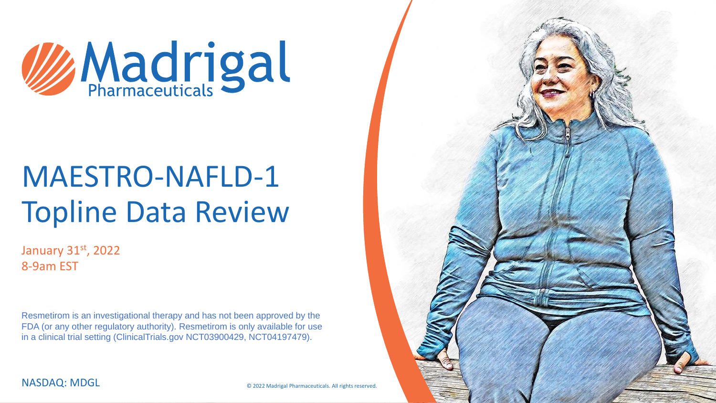

# MAESTRO-NAFLD-1 Topline Data Review

January 31st, 2022 8-9am EST

Resmetirom is an investigational therapy and has not been approved by the FDA (or any other regulatory authority). Resmetirom is only available for use in a clinical trial setting (ClinicalTrials.gov NCT03900429, NCT04197479).



**NASDAQ: MDGL** © 2022 Madrigal Pharmaceuticals. All rights reserved.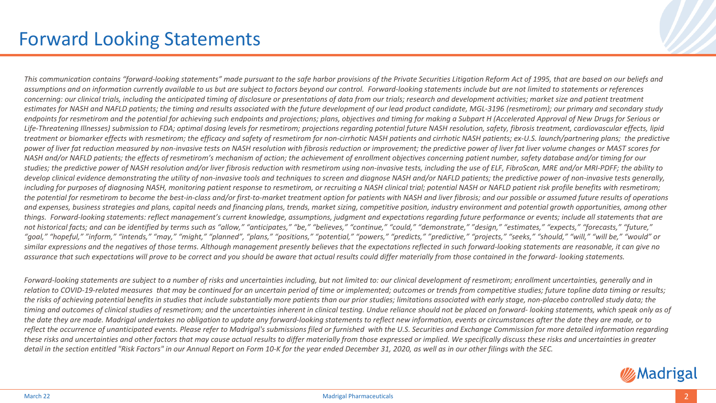This communication contains "forward-looking statements" made pursuant to the safe harbor provisions of the Private Securities Litigation Reform Act of 1995, that are based on our beliefs and *assumptions and on information currently available to us but are subject to factors beyond our control. Forward-looking statements include but are not limited to statements or references concerning: our clinical trials, including the anticipated timing of disclosure or presentations of data from our trials; research and development activities; market size and patient treatment estimates for NASH and NAFLD patients; the timing and results associated with the future development of our lead product candidate, MGL-3196 (resmetirom); our primary and secondary study*  endpoints for resmetirom and the potential for achieving such endpoints and projections; plans, objectives and timing for making a Subpart H (Accelerated Approval of New Drugs for Serious or Life-Threatening Illnesses) submission to FDA; optimal dosing levels for resmetirom; projections regarding potential future NASH resolution, safety, fibrosis treatment, cardiovascular effects, lipid *treatment or biomarker effects with resmetirom; the efficacy and safety of resmetirom for non-cirrhotic NASH patients and cirrhotic NASH patients; ex-U.S. launch/partnering plans; the predictive*  power of liver fat reduction measured by non-invasive tests on NASH resolution with fibrosis reduction or improvement; the predictive power of liver fat liver volume changes or MAST scores for *NASH and/or NAFLD patients; the effects of resmetirom's mechanism of action; the achievement of enrollment objectives concerning patient number, safety database and/or timing for our studies; the predictive power of NASH resolution and/or liver fibrosis reduction with resmetirom using non-invasive tests, including the use of ELF, FibroScan, MRE and/or MRI-PDFF; the ability to develop clinical evidence demonstrating the utility of non-invasive tools and techniques to screen and diagnose NASH and/or NAFLD patients; the predictive power of non-invasive tests generally,*  including for purposes of diagnosing NASH, monitoring patient response to resmetirom, or recruiting a NASH clinical trial; potential NASH or NAFLD patient risk profile benefits with resmetirom; *the potential for resmetirom to become the best-in-class and/or first-to-market treatment option for patients with NASH and liver fibrosis; and our possible or assumed future results of operations and expenses, business strategies and plans, capital needs and financing plans, trends, market sizing, competitive position, industry environment and potential growth opportunities, among other things. Forward-looking statements: reflect management's current knowledge, assumptions, judgment and expectations regarding future performance or events; include all statements that are not historical facts; and can be identified by terms such as "allow," "anticipates," "be," "believes," "continue," "could," "demonstrate," "design," "estimates," "expects," "forecasts," "future," "goal," "hopeful," "inform," "intends," "may," "might," "planned", "plans," "positions," "potential," "powers," "predicts," "predictive," "projects," "seeks," "should," "will," "will be," "would" or similar expressions and the negatives of those terms. Although management presently believes that the expectations reflected in such forward-looking statements are reasonable, it can give no assurance that such expectations will prove to be correct and you should be aware that actual results could differ materially from those contained in the forward- looking statements.* 

*Forward-looking statements are subject to a number of risks and uncertainties including, but not limited to: our clinical development of resmetirom; enrollment uncertainties, generally and in relation to COVID-19-related measures that may be continued for an uncertain period of time or implemented; outcomes or trends from competitive studies; future topline data timing or results; the risks of achieving potential benefits in studies that include substantially more patients than our prior studies; limitations associated with early stage, non-placebo controlled study data; the*  timing and outcomes of clinical studies of resmetirom; and the uncertainties inherent in clinical testing. Undue reliance should not be placed on forward- looking statements, which speak only as of *the date they are made. Madrigal undertakes no obligation to update any forward-looking statements to reflect new information, events or circumstances after the date they are made, or to reflect the occurrence of unanticipated events. Please refer to Madrigal's submissions filed or furnished with the U.S. Securities and Exchange Commission for more detailed information regarding these risks and uncertainties and other factors that may cause actual results to differ materially from those expressed or implied. We specifically discuss these risks and uncertainties in greater*  detail in the section entitled "Risk Factors" in our Annual Report on Form 10-K for the year ended December 31, 2020, as well as in our other filings with the SEC.

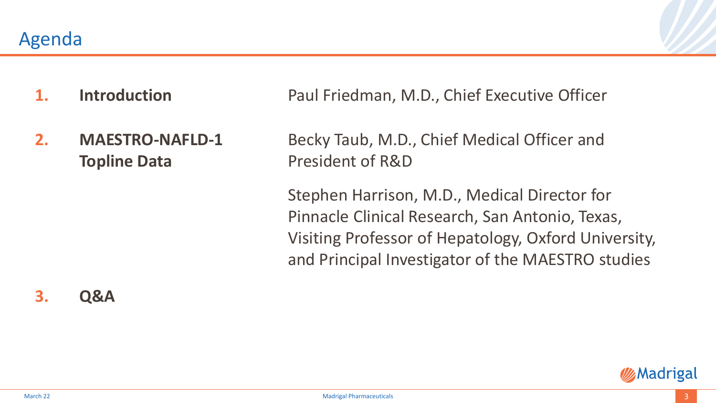- 
- **2. MAESTRO-NAFLD-1 Topline Data**

**1. Introduction** Paul Friedman, M.D., Chief Executive Officer

Becky Taub, M.D., Chief Medical Officer and President of R&D

Stephen Harrison, M.D., Medical Director for Pinnacle Clinical Research, San Antonio, Texas, Visiting Professor of Hepatology, Oxford University, and Principal Investigator of the MAESTRO studies

**3. Q&A**

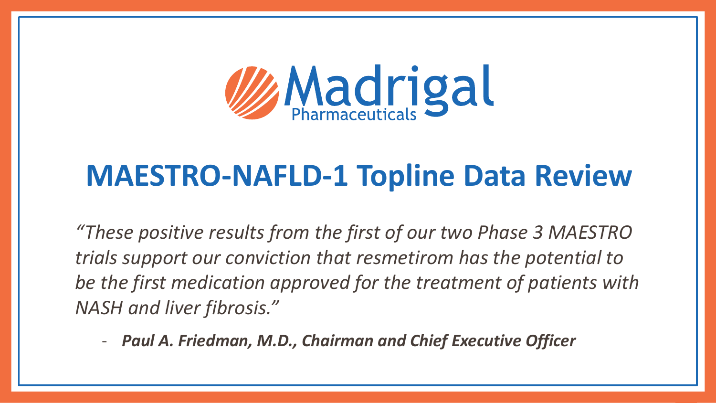

## **MAESTRO-NAFLD-1 Topline Data Review**

*"These positive results from the first of our two Phase 3 MAESTRO trials support our conviction that resmetirom has the potential to be the first medication approved for the treatment of patients with NASH and liver fibrosis."* 

- *Paul A. Friedman, M.D., Chairman and Chief Executive Officer*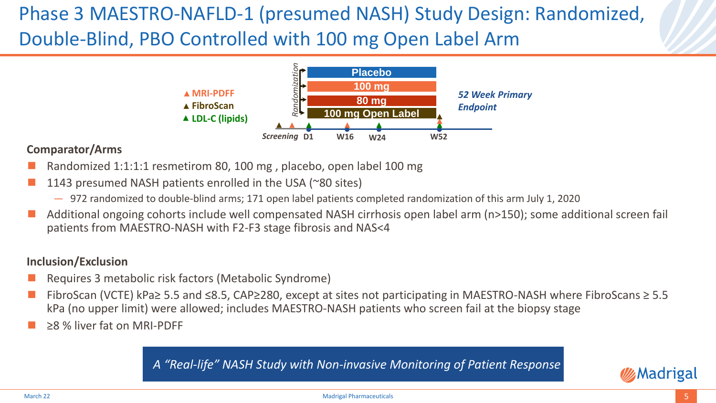### Phase 3 MAESTRO-NAFLD-1 (presumed NASH) Study Design: Randomized, Double-Blind, PBO Controlled with 100 mg Open Label Arm



#### **Comparator/Arms**

- Randomized 1:1:1:1 resmetirom 80, 100 mg, placebo, open label 100 mg
- 1143 presumed NASH patients enrolled in the USA (~80 sites)
	- 972 randomized to double-blind arms; 171 open label patients completed randomization of this arm July 1, 2020
- Additional ongoing cohorts include well compensated NASH cirrhosis open label arm (n>150); some additional screen fail patients from MAESTRO-NASH with F2-F3 stage fibrosis and NAS<4

#### **Inclusion/Exclusion**

- Requires 3 metabolic risk factors (Metabolic Syndrome)
- ◼ FibroScan (VCTE) kPa≥ 5.5 and ≤8.5, CAP≥280, except at sites not participating in MAESTRO-NASH where FibroScans ≥ 5.5 kPa (no upper limit) were allowed; includes MAESTRO-NASH patients who screen fail at the biopsy stage
- ≥8 % liver fat on MRI-PDFF

*A "Real-life" NASH Study with Non-invasive Monitoring of Patient Response*

**W**Madrigal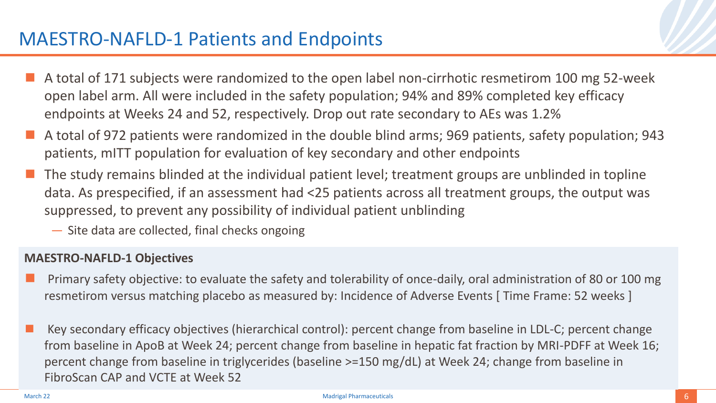#### MAESTRO-NAFLD-1 Patients and Endpoints

- ◼ A total of 171 subjects were randomized to the open label non-cirrhotic resmetirom 100 mg 52-week open label arm. All were included in the safety population; 94% and 89% completed key efficacy endpoints at Weeks 24 and 52, respectively. Drop out rate secondary to AEs was 1.2%
- ◼ A total of 972 patients were randomized in the double blind arms; 969 patients, safety population; 943 patients, mITT population for evaluation of key secondary and other endpoints
- The study remains blinded at the individual patient level; treatment groups are unblinded in topline data. As prespecified, if an assessment had <25 patients across all treatment groups, the output was suppressed, to prevent any possibility of individual patient unblinding
	- Site data are collected, final checks ongoing

#### **MAESTRO-NAFLD-1 Objectives**

- ◼ Primary safety objective: to evaluate the safety and tolerability of once-daily, oral administration of 80 or 100 mg resmetirom versus matching placebo as measured by: Incidence of Adverse Events [ Time Frame: 52 weeks ]
- Key secondary efficacy objectives (hierarchical control): percent change from baseline in LDL-C; percent change from baseline in ApoB at Week 24; percent change from baseline in hepatic fat fraction by MRI-PDFF at Week 16; percent change from baseline in triglycerides (baseline >=150 mg/dL) at Week 24; change from baseline in FibroScan CAP and VCTE at Week 52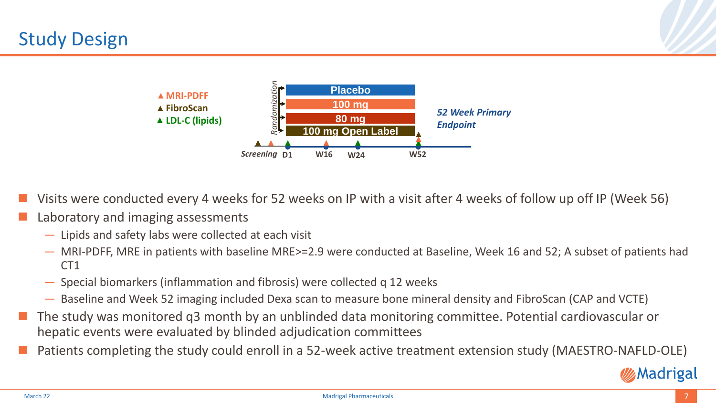#### Study Design



Visits were conducted every 4 weeks for 52 weeks on IP with a visit after 4 weeks of follow up off IP (Week 56)

- Laboratory and imaging assessments
	- Lipids and safety labs were collected at each visit
	- MRI-PDFF, MRE in patients with baseline MRE>=2.9 were conducted at Baseline, Week 16 and 52; A subset of patients had C<sub>T1</sub>
	- Special biomarkers (inflammation and fibrosis) were collected q 12 weeks
	- Baseline and Week 52 imaging included Dexa scan to measure bone mineral density and FibroScan (CAP and VCTE)
- The study was monitored q3 month by an unblinded data monitoring committee. Potential cardiovascular or hepatic events were evaluated by blinded adjudication committees
- Patients completing the study could enroll in a 52-week active treatment extension study (MAESTRO-NAFLD-OLE)

**W**Madrigal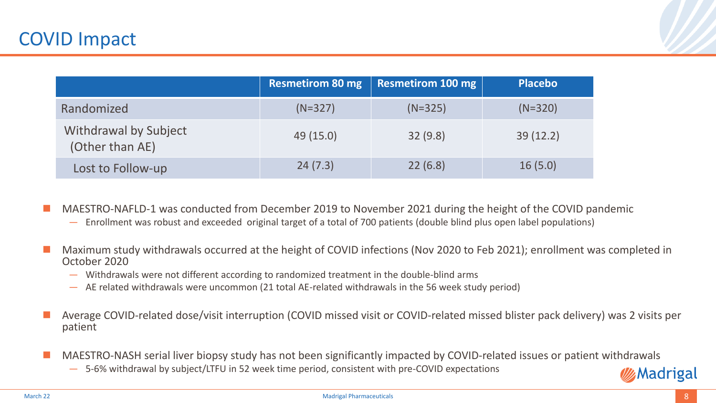|                                          | <b>Resmetirom 80 mg</b> | <b>Resmetirom 100 mg</b> | <b>Placebo</b> |
|------------------------------------------|-------------------------|--------------------------|----------------|
| Randomized                               | $(N=327)$               | $(N=325)$                | $(N=320)$      |
| Withdrawal by Subject<br>(Other than AE) | 49 (15.0)               | 32(9.8)                  | 39(12.2)       |
| Lost to Follow-up                        | 24(7.3)                 | 22(6.8)                  | 16(5.0)        |

- ◼ MAESTRO-NAFLD-1 was conducted from December 2019 to November 2021 during the height of the COVID pandemic
	- Enrollment was robust and exceeded original target of a total of 700 patients (double blind plus open label populations)
- Maximum study withdrawals occurred at the height of COVID infections (Nov 2020 to Feb 2021); enrollment was completed in October 2020
	- Withdrawals were not different according to randomized treatment in the double-blind arms
	- AE related withdrawals were uncommon (21 total AE-related withdrawals in the 56 week study period)
- ◼ Average COVID-related dose/visit interruption (COVID missed visit or COVID-related missed blister pack delivery) was 2 visits per patient
- MAESTRO-NASH serial liver biopsy study has not been significantly impacted by COVID-related issues or patient withdrawals — 5-6% withdrawal by subject/LTFU in 52 week time period, consistent with pre-COVID expectations **Madrigal**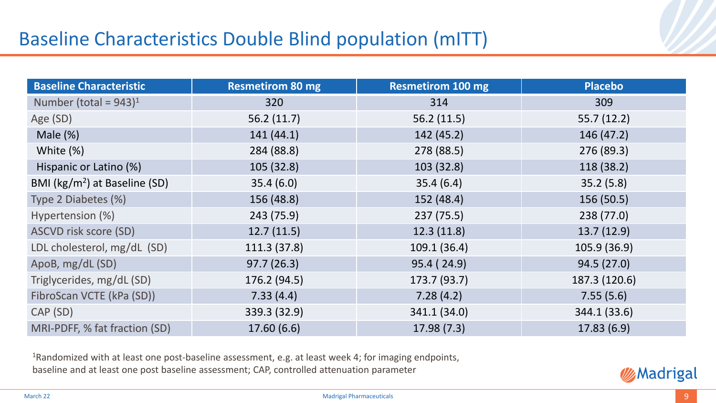| <b>Baseline Characteristic</b>           | <b>Resmetirom 80 mg</b> | <b>Resmetirom 100 mg</b> | <b>Placebo</b> |
|------------------------------------------|-------------------------|--------------------------|----------------|
| Number (total = $943$ ) <sup>1</sup>     | 320                     | 314                      | 309            |
| Age (SD)                                 | 56.2 $(11.7)$           | 56.2 $(11.5)$            | 55.7(12.2)     |
| Male $(\%)$                              | 141(44.1)               | 142(45.2)                | 146 (47.2)     |
| White (%)                                | 284 (88.8)              | 278 (88.5)               | 276 (89.3)     |
| Hispanic or Latino (%)                   | 105 (32.8)              | 103(32.8)                | 118 (38.2)     |
| BMI ( $\text{kg/m}^2$ ) at Baseline (SD) | 35.4(6.0)               | 35.4(6.4)                | 35.2(5.8)      |
| Type 2 Diabetes (%)                      | 156 (48.8)              | 152(48.4)                | 156 (50.5)     |
| Hypertension (%)                         | 243 (75.9)              | 237(75.5)                | 238(77.0)      |
| ASCVD risk score (SD)                    | 12.7(11.5)              | 12.3(11.8)               | 13.7(12.9)     |
| LDL cholesterol, mg/dL (SD)              | 111.3 (37.8)            | 109.1(36.4)              | 105.9 (36.9)   |
| ApoB, mg/dL (SD)                         | 97.7(26.3)              | 95.4 (24.9)              | 94.5(27.0)     |
| Triglycerides, mg/dL (SD)                | 176.2 (94.5)            | 173.7 (93.7)             | 187.3 (120.6)  |
| FibroScan VCTE (kPa (SD))                | 7.33(4.4)               | 7.28(4.2)                | 7.55(5.6)      |
| CAP (SD)                                 | 339.3 (32.9)            | 341.1 (34.0)             | 344.1 (33.6)   |
| MRI-PDFF, % fat fraction (SD)            | 17.60(6.6)              | 17.98(7.3)               | 17.83(6.9)     |

<sup>1</sup>Randomized with at least one post-baseline assessment, e.g. at least week 4; for imaging endpoints, baseline and at least one post baseline assessment; CAP, controlled attenuation parameter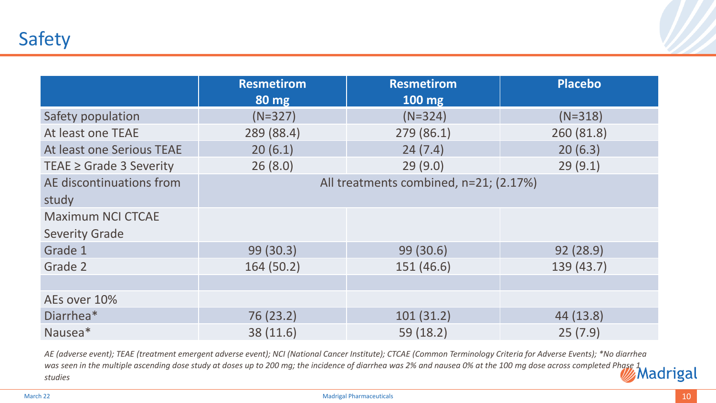|                              | <b>Resmetirom</b>                      | <b>Resmetirom</b> | <b>Placebo</b> |  |  |  |
|------------------------------|----------------------------------------|-------------------|----------------|--|--|--|
|                              | $80 \text{ mg}$                        | <b>100 mg</b>     |                |  |  |  |
| Safety population            | $(N=327)$                              | $(N=324)$         | $(N=318)$      |  |  |  |
| At least one TEAE            | 289 (88.4)                             | 279 (86.1)        | 260 (81.8)     |  |  |  |
| At least one Serious TEAE    | 20(6.1)                                | 24(7.4)           | 20(6.3)        |  |  |  |
| TEAE $\geq$ Grade 3 Severity | 26(8.0)                                | 29(9.0)           | 29(9.1)        |  |  |  |
| AE discontinuations from     | All treatments combined, n=21; (2.17%) |                   |                |  |  |  |
| study                        |                                        |                   |                |  |  |  |
| <b>Maximum NCI CTCAE</b>     |                                        |                   |                |  |  |  |
| <b>Severity Grade</b>        |                                        |                   |                |  |  |  |
| Grade 1                      | 99 (30.3)                              | 99 (30.6)         | 92 (28.9)      |  |  |  |
| Grade 2                      | 164 (50.2)                             | 151 (46.6)        | 139(43.7)      |  |  |  |
|                              |                                        |                   |                |  |  |  |
| AEs over 10%                 |                                        |                   |                |  |  |  |
| Diarrhea*                    | 76 (23.2)                              | 101(31.2)         | 44 (13.8)      |  |  |  |
| Nausea*                      | 38 (11.6)                              | 59 (18.2)         | 25(7.9)        |  |  |  |

*AE (adverse event); TEAE (treatment emergent adverse event); NCI (National Cancer Institute); CTCAE (Common Terminology Criteria for Adverse Events); \*No diarrhea was seen in the multiple ascending dose study at doses up to 200 mg; the incidence of diarrhea was 2% and nausea 0% at the 100 mg dose across completed Phase 1 studies*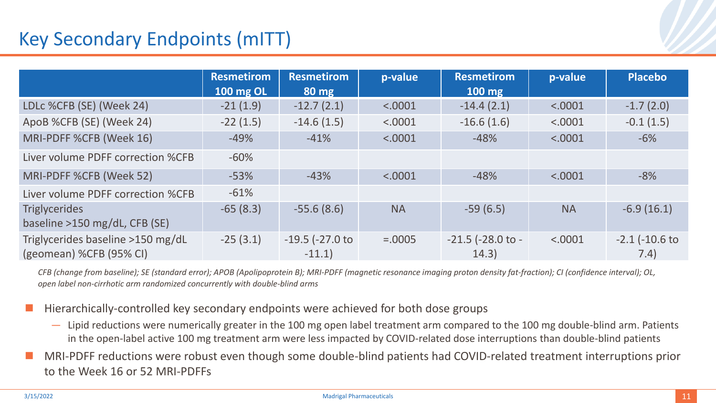|                                                              | <b>Resmetirom</b><br><b>100 mg OL</b> | <b>Resmetirom</b><br>$80 \text{ mg}$ | p-value   | <b>Resmetirom</b><br>$100 \text{ mg}$ | p-value   | <b>Placebo</b>              |
|--------------------------------------------------------------|---------------------------------------|--------------------------------------|-----------|---------------------------------------|-----------|-----------------------------|
| LDLc %CFB (SE) (Week 24)                                     | $-21(1.9)$                            | $-12.7(2.1)$                         | < .0001   | $-14.4(2.1)$                          | < .0001   | $-1.7(2.0)$                 |
| ApoB %CFB (SE) (Week 24)                                     | $-22(1.5)$                            | $-14.6(1.5)$                         | < .0001   | $-16.6(1.6)$                          | < .0001   | $-0.1(1.5)$                 |
| MRI-PDFF %CFB (Week 16)                                      | $-49%$                                | $-41%$                               | < .0001   | $-48%$                                | < .0001   | $-6%$                       |
| Liver volume PDFF correction %CFB                            | $-60%$                                |                                      |           |                                       |           |                             |
| MRI-PDFF %CFB (Week 52)                                      | $-53%$                                | $-43%$                               | < .0001   | $-48%$                                | < .0001   | $-8%$                       |
| Liver volume PDFF correction %CFB                            | $-61%$                                |                                      |           |                                       |           |                             |
| <b>Triglycerides</b><br>baseline >150 mg/dL, CFB (SE)        | $-65(8.3)$                            | $-55.6(8.6)$                         | <b>NA</b> | $-59(6.5)$                            | <b>NA</b> | $-6.9(16.1)$                |
| Triglycerides baseline >150 mg/dL<br>(geomean) %CFB (95% CI) | $-25(3.1)$                            | $-19.5$ ( $-27.0$ to<br>$-11.1)$     | $=.0005$  | $-21.5$ ( $-28.0$ to $-$<br>14.3)     | < .0001   | $-2.1$ ( $-10.6$ to<br>7.4) |

*CFB (change from baseline); SE (standard error); APOB (Apolipoprotein B); MRI-PDFF (magnetic resonance imaging proton density fat-fraction); CI (confidence interval); OL, open label non-cirrhotic arm randomized concurrently with double-blind arms*

- ◼ Hierarchically-controlled key secondary endpoints were achieved for both dose groups
	- Lipid reductions were numerically greater in the 100 mg open label treatment arm compared to the 100 mg double-blind arm. Patients in the open-label active 100 mg treatment arm were less impacted by COVID-related dose interruptions than double-blind patients
- MRI-PDFF reductions were robust even though some double-blind patients had COVID-related treatment interruptions prior to the Week 16 or 52 MRI-PDFFs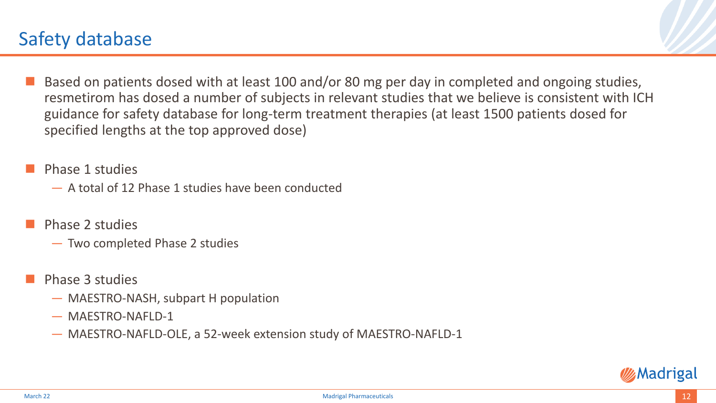#### Safety database

- Based on patients dosed with at least 100 and/or 80 mg per day in completed and ongoing studies, resmetirom has dosed a number of subjects in relevant studies that we believe is consistent with ICH guidance for safety database for long-term treatment therapies (at least 1500 patients dosed for specified lengths at the top approved dose)
- Phase 1 studies
	- A total of 12 Phase 1 studies have been conducted
- Phase 2 studies
	- Two completed Phase 2 studies
- Phase 3 studies
	- MAESTRO-NASH, subpart H population
	- MAESTRO-NAFLD-1
	- MAESTRO-NAFLD-OLE, a 52-week extension study of MAESTRO-NAFLD-1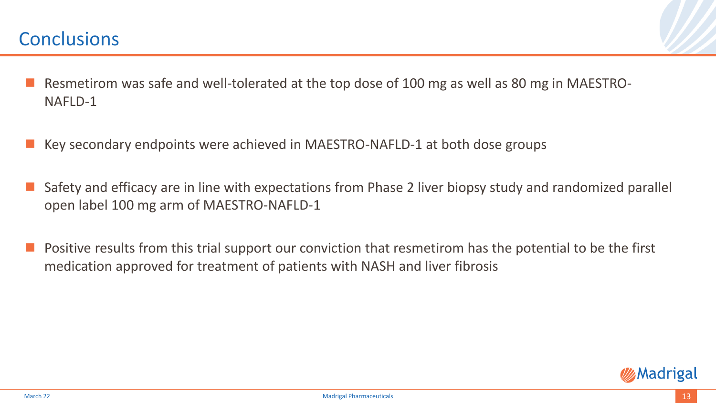- Resmetirom was safe and well-tolerated at the top dose of 100 mg as well as 80 mg in MAESTRO-NAFLD-1
- Key secondary endpoints were achieved in MAESTRO-NAFLD-1 at both dose groups
- Safety and efficacy are in line with expectations from Phase 2 liver biopsy study and randomized parallel open label 100 mg arm of MAESTRO-NAFLD-1
- ◼ Positive results from this trial support our conviction that resmetirom has the potential to be the first medication approved for treatment of patients with NASH and liver fibrosis

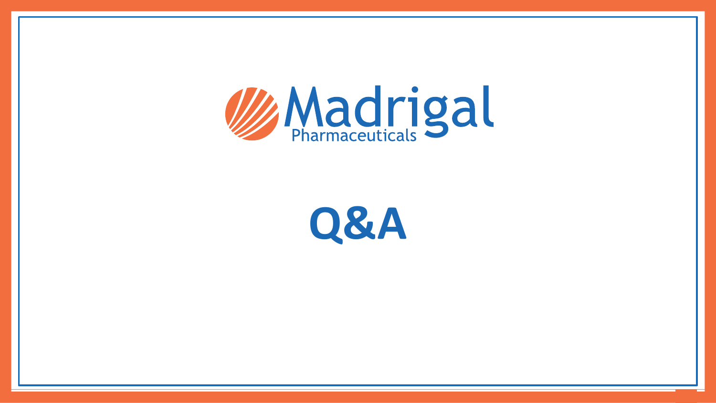